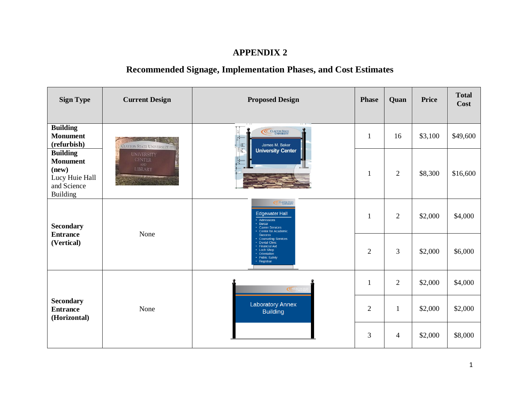## **APPENDIX 2**

## **Recommended Signage, Implementation Phases, and Cost Estimates**

| <b>Sign Type</b>                                                                                | <b>Current Design</b>                                | <b>Proposed Design</b>                                                                                                                                                                                                                                                           | <b>Phase</b>   | Quan           | <b>Price</b> | <b>Total</b><br>Cost |
|-------------------------------------------------------------------------------------------------|------------------------------------------------------|----------------------------------------------------------------------------------------------------------------------------------------------------------------------------------------------------------------------------------------------------------------------------------|----------------|----------------|--------------|----------------------|
| <b>Building</b><br><b>Monument</b><br>(refurbish)                                               | <b>ALCOHOL: YES</b><br>CLAYTON STATE UNIVERSITY      | CLAYTON STATE<br>James M. Baker<br>計                                                                                                                                                                                                                                             | 1              | 16             | \$3,100      | \$49,600             |
| <b>Building</b><br><b>Monument</b><br>(new)<br>Lucy Huie Hall<br>and Science<br><b>Building</b> | <b>UNIVERSITY</b><br><b>CENTER</b><br>AND<br>LIBRARY | <b>University Center</b><br>E,                                                                                                                                                                                                                                                   | $\mathbf{1}$   | $\overline{2}$ | \$8,300      | \$16,600             |
| <b>Secondary</b><br><b>Entrance</b><br>(Vertical)                                               | None                                                 | <b>CLAYTON STATE</b><br><b>Edgewater Hall</b><br>• Admissions<br>• Bursar<br><b>Career Services</b><br>Center for Academic<br><b>Success</b><br><b>Counseling Services</b><br>• Dental Clinic<br>• Financial Aid<br>• Loch Shop<br>• Orientation<br>• Public Safety<br>Registrar | $\mathbf{1}$   | $\overline{2}$ | \$2,000      | \$4,000              |
|                                                                                                 |                                                      |                                                                                                                                                                                                                                                                                  | $\overline{2}$ | $\overline{3}$ | \$2,000      | \$6,000              |
| <b>Secondary</b><br><b>Entrance</b><br>(Horizontal)                                             | None                                                 | CONTINUES<br><b>Laboratory Annex</b><br><b>Building</b>                                                                                                                                                                                                                          | $\mathbf{1}$   | $\overline{c}$ | \$2,000      | \$4,000              |
|                                                                                                 |                                                      |                                                                                                                                                                                                                                                                                  | $\overline{2}$ | $\mathbf{1}$   | \$2,000      | \$2,000              |
|                                                                                                 |                                                      |                                                                                                                                                                                                                                                                                  | 3              | $\overline{4}$ | \$2,000      | \$8,000              |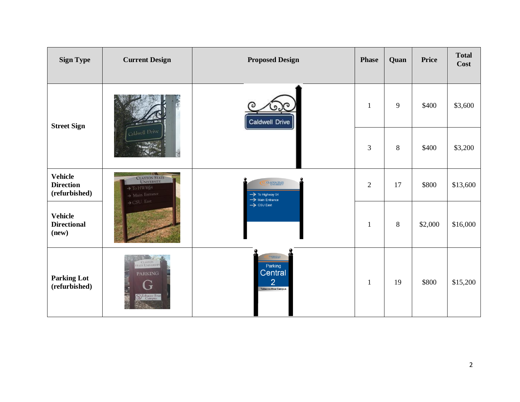| <b>Sign Type</b>                                    | <b>Current Design</b>                                                                | <b>Proposed Design</b>                                                                         | <b>Phase</b>   | Quan    | <b>Price</b> | <b>Total</b><br>Cost |
|-----------------------------------------------------|--------------------------------------------------------------------------------------|------------------------------------------------------------------------------------------------|----------------|---------|--------------|----------------------|
| <b>Street Sign</b>                                  | Caldwell Drive<br>Caldwell Drive                                                     | $\mathbf{1}$                                                                                   | 9              | \$400   | \$3,600      |                      |
|                                                     |                                                                                      |                                                                                                | 3              | $\,8\,$ | \$400        | \$3,200              |
| <b>Vehicle</b><br><b>Direction</b><br>(refurbished) | CLAYTON STATE<br>→ To HWV64<br>$\rightarrow$ Main Entrance<br>$\rightarrow$ CSU East | <b>CLAYTON STATE</b><br>$\rightarrow$ To Highway 54<br>Main Entrance<br>$\rightarrow$ CSU East | $\overline{2}$ | 17      | \$800        | \$13,600             |
| <b>Vehicle</b><br><b>Directional</b><br>(new)       |                                                                                      |                                                                                                | $\mathbf{1}$   | $\,8\,$ | \$2,000      | \$16,000             |
| <b>Parking Lot</b><br>(refurbished)                 | CLAYTON<br><b>PARKING</b><br>$\mathbf{G}$<br>Nobacco Free                            | CL WION STATE<br>Parking<br>Central<br>$\overline{2}$<br><b>Tobacco-free Campus</b>            | $\mathbf{1}$   | 19      | \$800        | \$15,200             |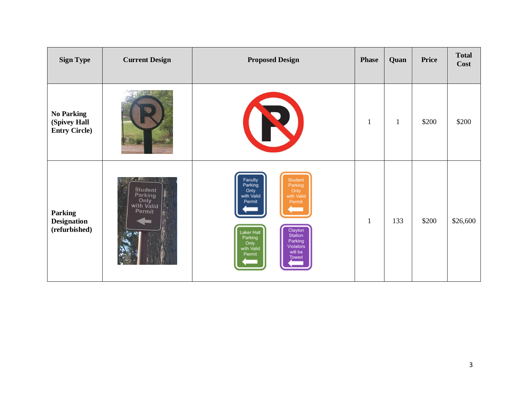| <b>Sign Type</b>                                          | <b>Current Design</b>                                     | <b>Proposed Design</b>                                                                                                                                                                                                                            | <b>Phase</b> | Quan         | Price | <b>Total</b><br>Cost |
|-----------------------------------------------------------|-----------------------------------------------------------|---------------------------------------------------------------------------------------------------------------------------------------------------------------------------------------------------------------------------------------------------|--------------|--------------|-------|----------------------|
| <b>No Parking</b><br>(Spivey Hall<br><b>Entry Circle)</b> |                                                           |                                                                                                                                                                                                                                                   | $\mathbf{1}$ | $\mathbf{1}$ | \$200 | \$200                |
| <b>Parking</b><br><b>Designation</b><br>(refurbished)     | <b>Student</b><br>Parking<br>Only<br>with Valid<br>Permit | Faculty<br>Student<br>Parking<br>Parking<br>Only<br>Only<br>with Valid<br>with Valid<br>Permit<br>Permit<br>Clayton<br>Laker Hall<br><b>Station</b><br>Parking<br>Parking<br>Only<br><b>Violators</b><br>with Valid<br>will be<br>Permit<br>Towed | $\mathbf{1}$ | 133          | \$200 | \$26,600             |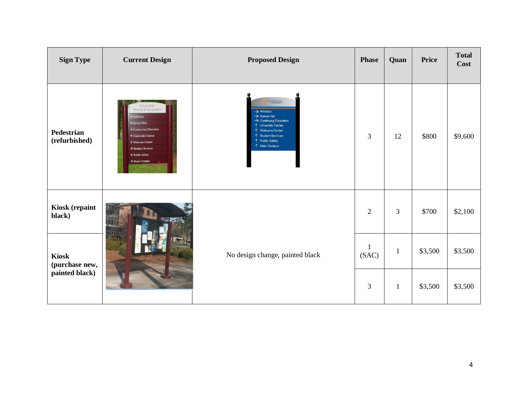| <b>Sign Type</b>                | <b>Current Design</b>                                                                                                                                                                                                                                                    | <b>Proposed Design</b>                                                                                                                                                                                      | <b>Phase</b>   | Quan         | <b>Price</b> | <b>Total</b><br>Cost |
|---------------------------------|--------------------------------------------------------------------------------------------------------------------------------------------------------------------------------------------------------------------------------------------------------------------------|-------------------------------------------------------------------------------------------------------------------------------------------------------------------------------------------------------------|----------------|--------------|--------------|----------------------|
| Pedestrian<br>(refurbished)     | <b>CLAYTON</b><br><b>STATE UNIVERSITY</b><br>$\rightarrow$ Athletics<br>$\rightarrow$ Spivey Hall<br>$\rightarrow$ Continuing Education<br><b>↑ University Center</b><br>↑ Welcome Center<br><b>1 Student Services</b><br><b>↑ Public Safety</b><br><b>1 Main Campus</b> | <b>CLANTON STATE</b><br>$\rightarrow$ Athletics<br>> Spivey Hall<br>$\rightarrow$ Continuing Education<br>↑ University Center<br>↑ Welcome Center<br>↑ Student Services<br>个 Public Safety<br>↑ Main Campus | 3              | 12           | \$800        | \$9,600              |
| <b>Kiosk</b> (repaint<br>black) | 医阴茎突出<br>almania                                                                                                                                                                                                                                                         |                                                                                                                                                                                                             | $\overline{2}$ | 3            | \$700        | \$2,100              |
| <b>Kiosk</b><br>(purchase new,  |                                                                                                                                                                                                                                                                          | No design change, painted black                                                                                                                                                                             | (SAC)          | $\mathbf{1}$ | \$3,500      | \$3,500              |
| painted black)                  |                                                                                                                                                                                                                                                                          |                                                                                                                                                                                                             | 3              | $\mathbf{1}$ | \$3,500      | \$3,500              |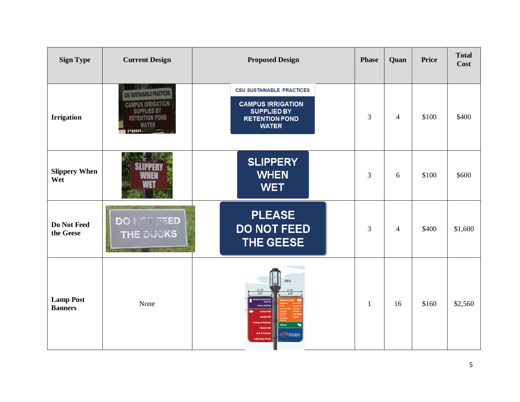| <b>Sign Type</b>                   | <b>Current Design</b>                                                                                                                                  | <b>Proposed Design</b>                                                                                                      | <b>Phase</b>   | Quan           | <b>Price</b> | <b>Total</b><br>Cost |
|------------------------------------|--------------------------------------------------------------------------------------------------------------------------------------------------------|-----------------------------------------------------------------------------------------------------------------------------|----------------|----------------|--------------|----------------------|
| <b>Irrigation</b>                  | 1000000<br><b>CSU SUSTAINABLE PRACTICES</b><br><b>CAMPUS IRRIGATION</b><br><b>SUPPLIED BY</b><br><b>RETENTION POND</b><br><b>WATER</b><br><b>PHIN.</b> | <b>CSU SUSTAINABLE PRACTICES</b><br><b>CAMPUS IRRIGATION</b><br><b>SUPPLIED BY</b><br><b>RETENTION POND</b><br><b>WATER</b> | 3              | $\overline{4}$ | \$100        | \$400                |
| <b>Slippery When</b><br>Wet        |                                                                                                                                                        | <b>SLIPPERY</b><br><b>WHEN</b><br><b>WET</b>                                                                                | 3              | 6              | \$100        | \$600                |
| Do Not Feed<br>the Geese           | DO NOT FEED<br><b>THE DUCKS</b>                                                                                                                        | <b>PLEASE</b><br><b>DO NOT FEED</b><br><b>THE GEESE</b>                                                                     | $\overline{3}$ | $\overline{4}$ | \$400        | \$1,600              |
| <b>Lamp Post</b><br><b>Banners</b> | None                                                                                                                                                   | SIDE A<br>$2' - 10''$<br>$2' - 10''$<br>$2 - 9$<br>$2' - 9''$<br>Library<br><b>CCLAYTON STATE</b>                           | $\mathbf{1}$   | 16             | \$160        | \$2,560              |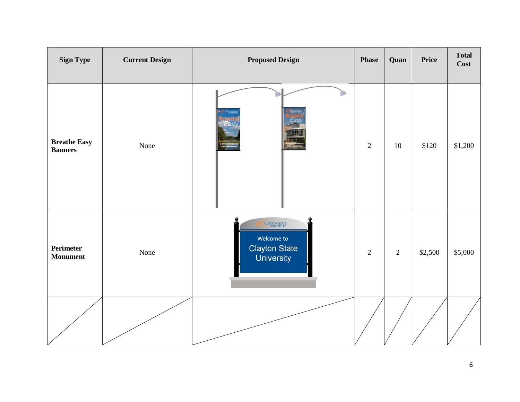| <b>Sign Type</b>                      | <b>Current Design</b> | <b>Proposed Design</b>                                            | <b>Phase</b>   | Quan         | <b>Price</b> | <b>Total</b><br>Cost |
|---------------------------------------|-----------------------|-------------------------------------------------------------------|----------------|--------------|--------------|----------------------|
| <b>Breathe Easy</b><br><b>Banners</b> | None                  | oggal<br><b>COUNTINS</b><br>Easy<br><b>ATTELL</b>                 | $\overline{2}$ | 10           | \$120        | \$1,200              |
| <b>Perimeter</b><br><b>Monument</b>   | None                  | CLAYTON STATE<br>Welcome to<br><b>Clayton State</b><br>University | $\overline{2}$ | $\mathbf{2}$ | \$2,500      | \$5,000              |
|                                       |                       |                                                                   |                |              |              |                      |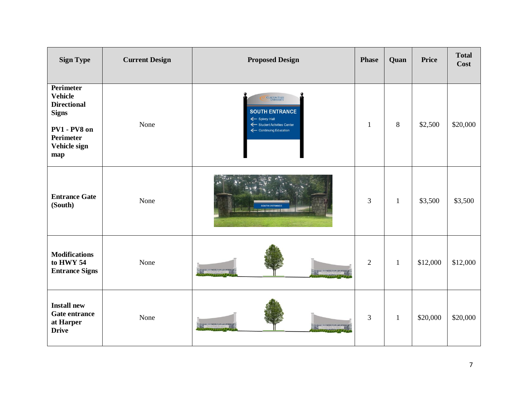| <b>Sign Type</b>                                                                                                                    | <b>Current Design</b> | <b>Proposed Design</b>                                                                                              | <b>Phase</b>   | Quan         | <b>Price</b> | <b>Total</b><br>Cost |
|-------------------------------------------------------------------------------------------------------------------------------------|-----------------------|---------------------------------------------------------------------------------------------------------------------|----------------|--------------|--------------|----------------------|
| <b>Perimeter</b><br><b>Vehicle</b><br><b>Directional</b><br><b>Signs</b><br>PV1 - PV8 on<br><b>Perimeter</b><br>Vehicle sign<br>map | None                  | <b>CLAYTON STATE</b><br><b>SOUTH ENTRANCE</b><br>Spivey Hall<br>< Student Activities Center<br>Continuing Education | $\mathbf{1}$   | 8            | \$2,500      | \$20,000             |
| <b>Entrance Gate</b><br>(South)                                                                                                     | None                  |                                                                                                                     | 3              | $\mathbf{1}$ | \$3,500      | \$3,500              |
| <b>Modifications</b><br>to HWY 54<br><b>Entrance Signs</b>                                                                          | None                  |                                                                                                                     | $\sqrt{2}$     | $\mathbf{1}$ | \$12,000     | \$12,000             |
| <b>Install new</b><br>Gate entrance<br>at Harper<br><b>Drive</b>                                                                    | None                  |                                                                                                                     | $\mathfrak{Z}$ | $\mathbf{1}$ | \$20,000     | \$20,000             |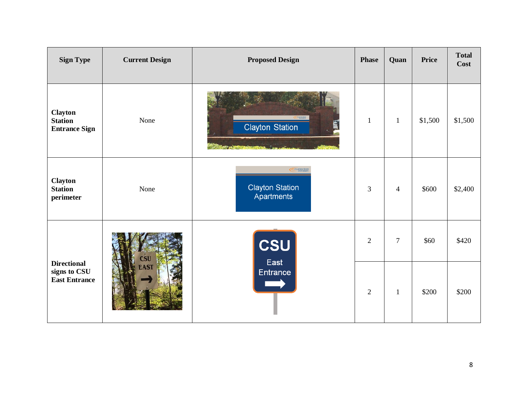| <b>Sign Type</b>                                           | <b>Current Design</b> | <b>Proposed Design</b>                                | <b>Phase</b>   | Quan           | <b>Price</b> | <b>Total</b><br>Cost |
|------------------------------------------------------------|-----------------------|-------------------------------------------------------|----------------|----------------|--------------|----------------------|
| <b>Clayton</b><br><b>Station</b><br><b>Entrance Sign</b>   | None                  | <b>Clayton Station</b><br><b>STANDARD</b>             | $\mathbf{1}$   | $\mathbf{1}$   | \$1,500      | \$1,500              |
| <b>Clayton</b><br><b>Station</b><br>perimeter              | None                  | CLAYTON STATE<br><b>Clayton Station</b><br>Apartments | 3              | $\overline{4}$ | \$600        | \$2,400              |
| <b>Directional</b><br>signs to CSU<br><b>East Entrance</b> | <b>CSU</b><br>SU      | $\overline{2}$                                        | $\overline{7}$ | \$60           | \$420        |                      |
|                                                            | <b>EAST</b>           | East<br>Entrance                                      | $\overline{2}$ | $\mathbf{1}$   | \$200        | \$200                |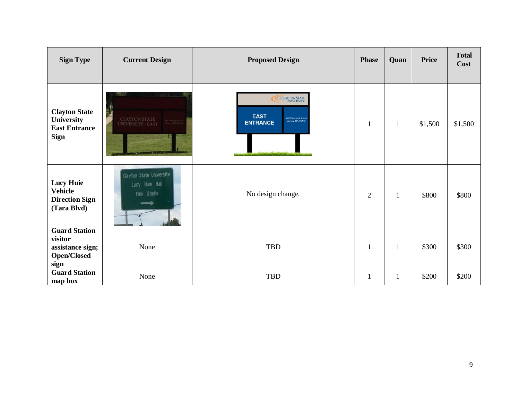| <b>Sign Type</b>                                                                  | <b>Current Design</b>                                                                                                                                           | <b>Proposed Design</b>                                                                    | <b>Phase</b>   | Quan         | <b>Price</b> | <b>Total</b><br><b>Cost</b> |
|-----------------------------------------------------------------------------------|-----------------------------------------------------------------------------------------------------------------------------------------------------------------|-------------------------------------------------------------------------------------------|----------------|--------------|--------------|-----------------------------|
| <b>Clayton State</b><br>University<br><b>East Entrance</b><br><b>Sign</b>         | <b>CLAYTON STATE</b><br>$\frac{1}{2}$ SCl $\bar{1}$ Trianges III. $\bar{1}$<br>$\bar{1}$ SCl $\bar{1}$ Marc $\bar{1}$ SCl $\bar{1}$<br><b>UNIVERSITY - EAST</b> | CLAYTON STATE<br><b>EAST</b><br>5823 Trammell Road<br>Morrow, GA 30260<br><b>ENTRANCE</b> | $\mathbf{1}$   | $\mathbf{1}$ | \$1,500      | \$1,500                     |
| <b>Lucy Huie</b><br><b>Vehicle</b><br><b>Direction Sign</b><br>(Tara Blvd)        | Clayton State University<br>Lucy Huie Hall<br>Film Studio<br>-                                                                                                  | No design change.                                                                         | $\overline{2}$ | $\mathbf{1}$ | \$800        | \$800                       |
| <b>Guard Station</b><br>visitor<br>assistance sign;<br><b>Open/Closed</b><br>sign | None                                                                                                                                                            | TBD                                                                                       | $\mathbf{1}$   | $\mathbf{1}$ | \$300        | \$300                       |
| <b>Guard Station</b><br>map box                                                   | None                                                                                                                                                            | TBD                                                                                       | $\mathbf{1}$   | $\mathbf{1}$ | \$200        | \$200                       |